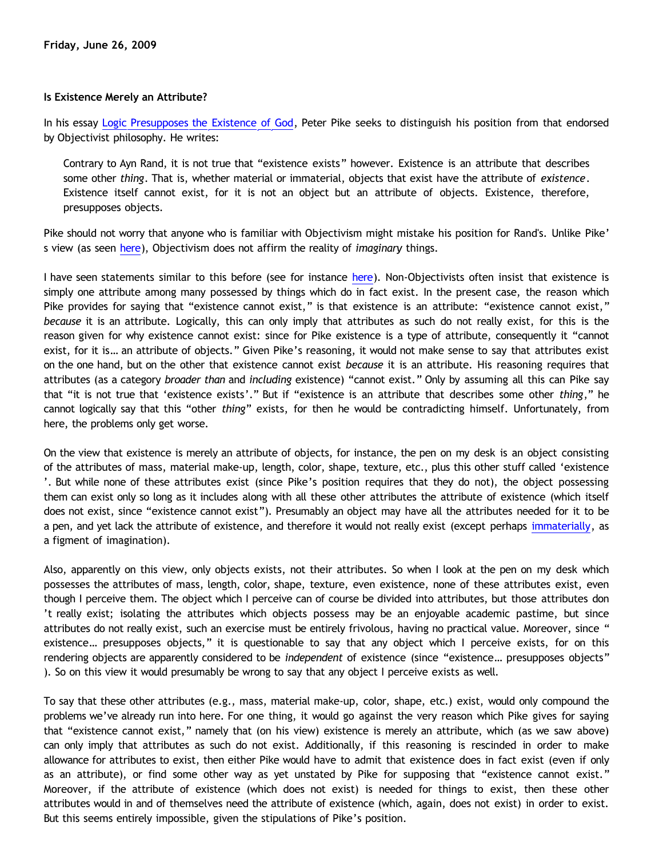## **Is Existence Merely an Attribute?**

In his essay [Logic Presupposes the Existence of God,](http://peterpike.us/philosophy/philosophy0002.aspx) Peter Pike seeks to distinguish his position from that endorsed by Objectivist philosophy. He writes:

Contrary to Ayn Rand, it is not true that "existence exists" however. Existence is an attribute that describes some other *thing*. That is, whether material or immaterial, objects that exist have the attribute of *existence*. Existence itself cannot exist, for it is not an object but an attribute of objects. Existence, therefore, presupposes objects.

Pike should not worry that anyone who is familiar with Objectivism might mistake his position for Rand's. Unlike Pike' s view (as seen [here](http://bahnsenburner.blogspot.com/2009/06/is-immaterial-actually-imaginary.html)), Objectivism does not affirm the reality of *imaginary* things.

I have seen statements similar to this before (see for instance [here](http://www.geocities.com/katholon/Vallicella.htm)). Non-Objectivists often insist that existence is simply one attribute among many possessed by things which do in fact exist. In the present case, the reason which Pike provides for saying that "existence cannot exist," is that existence is an attribute: "existence cannot exist," *because* it is an attribute. Logically, this can only imply that attributes as such do not really exist, for this is the reason given for why existence cannot exist: since for Pike existence is a type of attribute, consequently it "cannot exist, for it is… an attribute of objects." Given Pike's reasoning, it would not make sense to say that attributes exist on the one hand, but on the other that existence cannot exist *because* it is an attribute. His reasoning requires that attributes (as a category *broader than* and *including* existence) "cannot exist." Only by assuming all this can Pike say that "it is not true that 'existence exists'." But if "existence is an attribute that describes some other *thing*," he cannot logically say that this "other *thing*" exists, for then he would be contradicting himself. Unfortunately, from here, the problems only get worse.

On the view that existence is merely an attribute of objects, for instance, the pen on my desk is an object consisting of the attributes of mass, material make-up, length, color, shape, texture, etc., plus this other stuff called 'existence '. But while none of these attributes exist (since Pike's position requires that they do not), the object possessing them can exist only so long as it includes along with all these other attributes the attribute of existence (which itself does not exist, since "existence cannot exist"). Presumably an object may have all the attributes needed for it to be a pen, and yet lack the attribute of existence, and therefore it would not really exist (except perhaps [immaterially](http://bahnsenburner.blogspot.com/2009/06/is-immaterial-actually-imaginary.html), as a figment of imagination).

Also, apparently on this view, only objects exists, not their attributes. So when I look at the pen on my desk which possesses the attributes of mass, length, color, shape, texture, even existence, none of these attributes exist, even though I perceive them. The object which I perceive can of course be divided into attributes, but those attributes don 't really exist; isolating the attributes which objects possess may be an enjoyable academic pastime, but since attributes do not really exist, such an exercise must be entirely frivolous, having no practical value. Moreover, since " existence… presupposes objects," it is questionable to say that any object which I perceive exists, for on this rendering objects are apparently considered to be *independent* of existence (since "existence… presupposes objects" ). So on this view it would presumably be wrong to say that any object I perceive exists as well.

To say that these other attributes (e.g., mass, material make-up, color, shape, etc.) exist, would only compound the problems we've already run into here. For one thing, it would go against the very reason which Pike gives for saying that "existence cannot exist," namely that (on his view) existence is merely an attribute, which (as we saw above) can only imply that attributes as such do not exist. Additionally, if this reasoning is rescinded in order to make allowance for attributes to exist, then either Pike would have to admit that existence does in fact exist (even if only as an attribute), or find some other way as yet unstated by Pike for supposing that "existence cannot exist." Moreover, if the attribute of existence (which does not exist) is needed for things to exist, then these other attributes would in and of themselves need the attribute of existence (which, again, does not exist) in order to exist. But this seems entirely impossible, given the stipulations of Pike's position.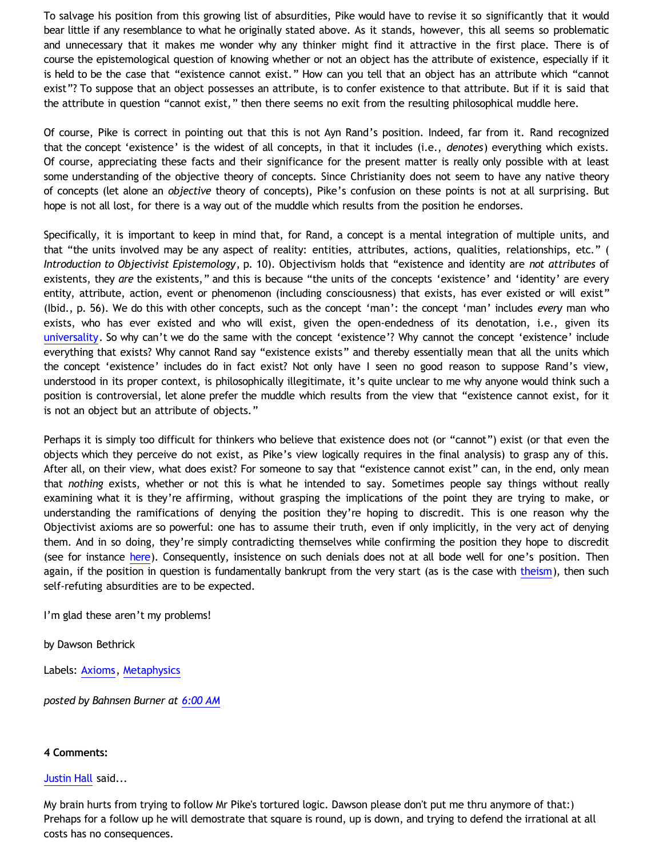To salvage his position from this growing list of absurdities, Pike would have to revise it so significantly that it would bear little if any resemblance to what he originally stated above. As it stands, however, this all seems so problematic and unnecessary that it makes me wonder why any thinker might find it attractive in the first place. There is of course the epistemological question of knowing whether or not an object has the attribute of existence, especially if it is held to be the case that "existence cannot exist." How can you tell that an object has an attribute which "cannot exist"? To suppose that an object possesses an attribute, is to confer existence to that attribute. But if it is said that the attribute in question "cannot exist," then there seems no exit from the resulting philosophical muddle here.

Of course, Pike is correct in pointing out that this is not Ayn Rand's position. Indeed, far from it. Rand recognized that the concept 'existence' is the widest of all concepts, in that it includes (i.e., *denotes*) everything which exists. Of course, appreciating these facts and their significance for the present matter is really only possible with at least some understanding of the objective theory of concepts. Since Christianity does not seem to have any native theory of concepts (let alone an *objective* theory of concepts), Pike's confusion on these points is not at all surprising. But hope is not all lost, for there is a way out of the muddle which results from the position he endorses.

Specifically, it is important to keep in mind that, for Rand, a concept is a mental integration of multiple units, and that "the units involved may be any aspect of reality: entities, attributes, actions, qualities, relationships, etc." ( *Introduction to Objectivist Epistemology*, p. 10). Objectivism holds that "existence and identity are *not attributes* of existents, they *are* the existents," and this is because "the units of the concepts 'existence' and 'identity' are every entity, attribute, action, event or phenomenon (including consciousness) that exists, has ever existed or will exist" (Ibid., p. 56). We do this with other concepts, such as the concept 'man': the concept 'man' includes *every* man who exists, who has ever existed and who will exist, given the open-endedness of its denotation, i.e., given its [universality.](http://bahnsenburner.blogspot.com/2009/06/demystifying-universality.html) So why can't we do the same with the concept 'existence'? Why cannot the concept 'existence' include everything that exists? Why cannot Rand say "existence exists" and thereby essentially mean that all the units which the concept 'existence' includes do in fact exist? Not only have I seen no good reason to suppose Rand's view, understood in its proper context, is philosophically illegitimate, it's quite unclear to me why anyone would think such a position is controversial, let alone prefer the muddle which results from the view that "existence cannot exist, for it is not an object but an attribute of objects."

Perhaps it is simply too difficult for thinkers who believe that existence does not (or "cannot") exist (or that even the objects which they perceive do not exist, as Pike's view logically requires in the final analysis) to grasp any of this. After all, on their view, what does exist? For someone to say that "existence cannot exist" can, in the end, only mean that *nothing* exists, whether or not this is what he intended to say. Sometimes people say things without really examining what it is they're affirming, without grasping the implications of the point they are trying to make, or understanding the ramifications of denying the position they're hoping to discredit. This is one reason why the Objectivist axioms are so powerful: one has to assume their truth, even if only implicitly, in the very act of denying them. And in so doing, they're simply contradicting themselves while confirming the position they hope to discredit (see for instance [here\)](http://bahnsenburner.blogspot.com/2008/10/reply-to-tennant-on-theistic.html). Consequently, insistence on such denials does not at all bode well for one's position. Then again, if the position in question is fundamentally bankrupt from the very start (as is the case with [theism\)](http://bahnsenburner.blogspot.com/2008/12/inherent-subjectivism-of-god-belief.html), then such self-refuting absurdities are to be expected.

I'm glad these aren't my problems!

by Dawson Bethrick

Labels: [Axioms](http://bahnsenburner.blogspot.com/search/label/Axioms), [Metaphysics](http://bahnsenburner.blogspot.com/search/label/Metaphysics)

*posted by Bahnsen Burner at [6:00 AM](http://bahnsenburner.blogspot.com/2009/06/is-existence-merely-attribute.html)*

## **4 Comments:**

## [Justin Hall](http://www.blogger.com/profile/17804641315202800289) said...

My brain hurts from trying to follow Mr Pike's tortured logic. Dawson please don't put me thru anymore of that:) Prehaps for a follow up he will demostrate that square is round, up is down, and trying to defend the irrational at all costs has no consequences.